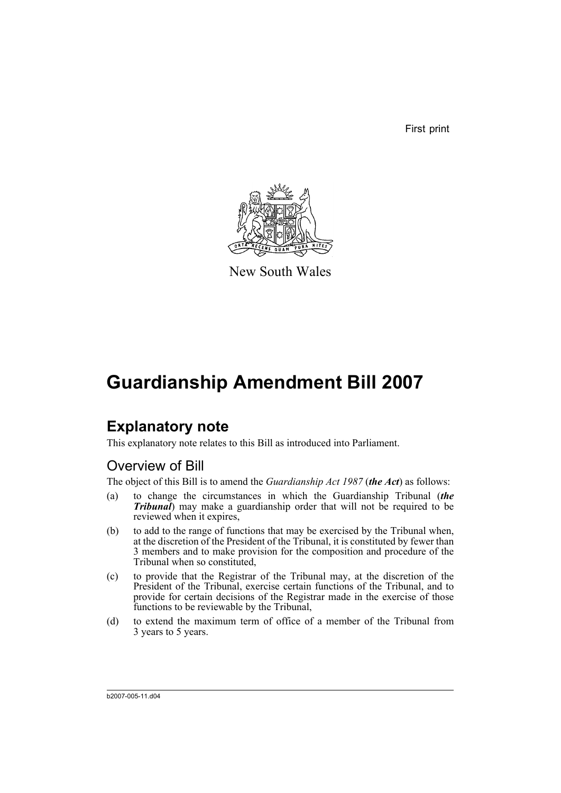First print



New South Wales

# **Guardianship Amendment Bill 2007**

# **Explanatory note**

This explanatory note relates to this Bill as introduced into Parliament.

## Overview of Bill

The object of this Bill is to amend the *Guardianship Act 1987* (*the Act*) as follows:

- (a) to change the circumstances in which the Guardianship Tribunal (*the Tribunal*) may make a guardianship order that will not be required to be reviewed when it expires,
- (b) to add to the range of functions that may be exercised by the Tribunal when, at the discretion of the President of the Tribunal, it is constituted by fewer than 3 members and to make provision for the composition and procedure of the Tribunal when so constituted,
- (c) to provide that the Registrar of the Tribunal may, at the discretion of the President of the Tribunal, exercise certain functions of the Tribunal, and to provide for certain decisions of the Registrar made in the exercise of those functions to be reviewable by the Tribunal,
- (d) to extend the maximum term of office of a member of the Tribunal from 3 years to 5 years.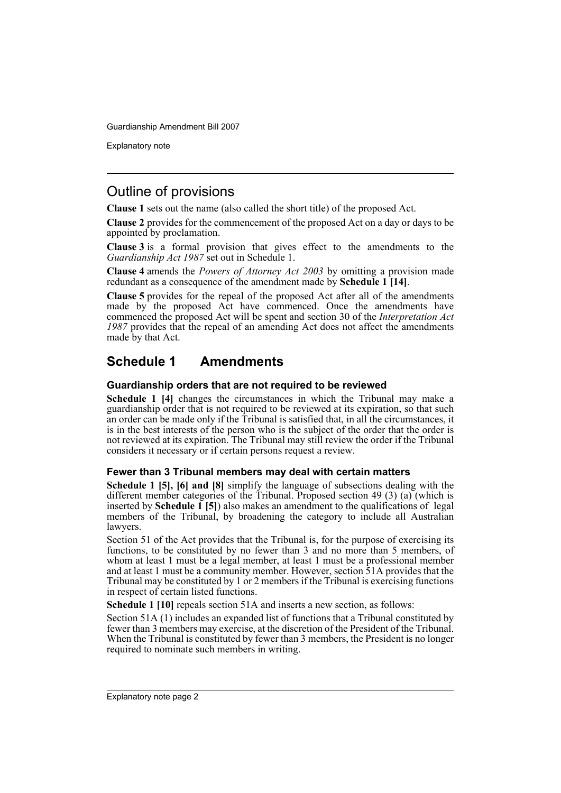Explanatory note

### Outline of provisions

**Clause 1** sets out the name (also called the short title) of the proposed Act.

**Clause 2** provides for the commencement of the proposed Act on a day or days to be appointed by proclamation.

**Clause 3** is a formal provision that gives effect to the amendments to the *Guardianship Act 1987* set out in Schedule 1.

**Clause 4** amends the *Powers of Attorney Act 2003* by omitting a provision made redundant as a consequence of the amendment made by **Schedule 1 [14]**.

**Clause 5** provides for the repeal of the proposed Act after all of the amendments made by the proposed Act have commenced. Once the amendments have commenced the proposed Act will be spent and section 30 of the *Interpretation Act 1987* provides that the repeal of an amending Act does not affect the amendments made by that Act.

### **Schedule 1 Amendments**

### **Guardianship orders that are not required to be reviewed**

**Schedule 1 [4]** changes the circumstances in which the Tribunal may make a guardianship order that is not required to be reviewed at its expiration, so that such an order can be made only if the Tribunal is satisfied that, in all the circumstances, it is in the best interests of the person who is the subject of the order that the order is not reviewed at its expiration. The Tribunal may still review the order if the Tribunal considers it necessary or if certain persons request a review.

### **Fewer than 3 Tribunal members may deal with certain matters**

**Schedule 1 [5], [6] and [8]** simplify the language of subsections dealing with the different member categories of the Tribunal. Proposed section 49 (3) (a) (which is inserted by **Schedule 1 [5]**) also makes an amendment to the qualifications of legal members of the Tribunal, by broadening the category to include all Australian lawyers.

Section 51 of the Act provides that the Tribunal is, for the purpose of exercising its functions, to be constituted by no fewer than 3 and no more than 5 members, of whom at least 1 must be a legal member, at least 1 must be a professional member and at least 1 must be a community member. However, section 51A provides that the Tribunal may be constituted by 1 or 2 members if the Tribunal is exercising functions in respect of certain listed functions.

**Schedule 1 [10]** repeals section 51A and inserts a new section, as follows:

Section 51A (1) includes an expanded list of functions that a Tribunal constituted by fewer than 3 members may exercise, at the discretion of the President of the Tribunal. When the Tribunal is constituted by fewer than 3 members, the President is no longer required to nominate such members in writing.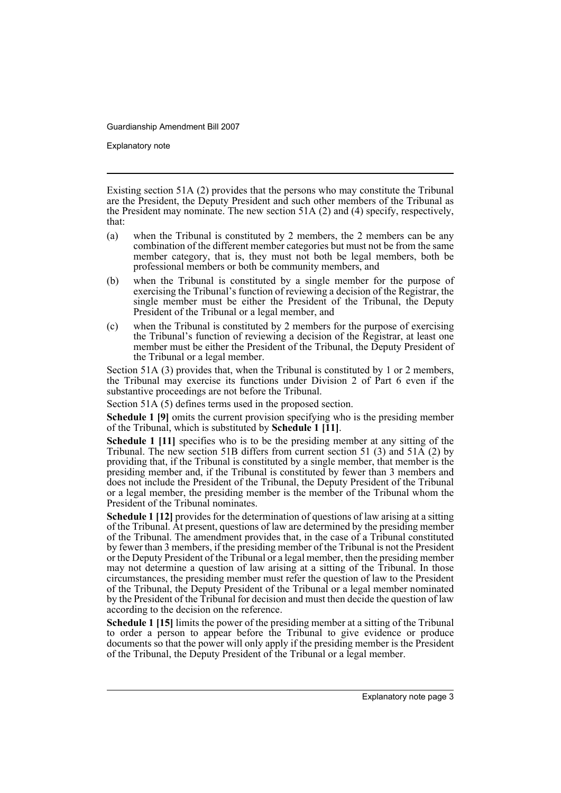Explanatory note

Existing section 51A (2) provides that the persons who may constitute the Tribunal are the President, the Deputy President and such other members of the Tribunal as the President may nominate. The new section 51A (2) and (4) specify, respectively, that:

- (a) when the Tribunal is constituted by 2 members, the 2 members can be any combination of the different member categories but must not be from the same member category, that is, they must not both be legal members, both be professional members or both be community members, and
- (b) when the Tribunal is constituted by a single member for the purpose of exercising the Tribunal's function of reviewing a decision of the Registrar, the single member must be either the President of the Tribunal, the Deputy President of the Tribunal or a legal member, and
- (c) when the Tribunal is constituted by 2 members for the purpose of exercising the Tribunal's function of reviewing a decision of the Registrar, at least one member must be either the President of the Tribunal, the Deputy President of the Tribunal or a legal member.

Section 51A (3) provides that, when the Tribunal is constituted by 1 or 2 members, the Tribunal may exercise its functions under Division 2 of Part 6 even if the substantive proceedings are not before the Tribunal.

Section 51A (5) defines terms used in the proposed section.

**Schedule 1 [9]** omits the current provision specifying who is the presiding member of the Tribunal, which is substituted by **Schedule 1 [11]**.

**Schedule 1 [11]** specifies who is to be the presiding member at any sitting of the Tribunal. The new section 51B differs from current section 51 (3) and 51 $\tilde{A}$  (2) by providing that, if the Tribunal is constituted by a single member, that member is the presiding member and, if the Tribunal is constituted by fewer than 3 members and does not include the President of the Tribunal, the Deputy President of the Tribunal or a legal member, the presiding member is the member of the Tribunal whom the President of the Tribunal nominates.

**Schedule 1 [12]** provides for the determination of questions of law arising at a sitting of the Tribunal. At present, questions of law are determined by the presiding member of the Tribunal. The amendment provides that, in the case of a Tribunal constituted by fewer than 3 members, if the presiding member of the Tribunal is not the President or the Deputy President of the Tribunal or a legal member, then the presiding member may not determine a question of law arising at a sitting of the Tribunal. In those circumstances, the presiding member must refer the question of law to the President of the Tribunal, the Deputy President of the Tribunal or a legal member nominated by the President of the Tribunal for decision and must then decide the question of law according to the decision on the reference.

**Schedule 1 [15]** limits the power of the presiding member at a sitting of the Tribunal to order a person to appear before the Tribunal to give evidence or produce documents so that the power will only apply if the presiding member is the President of the Tribunal, the Deputy President of the Tribunal or a legal member.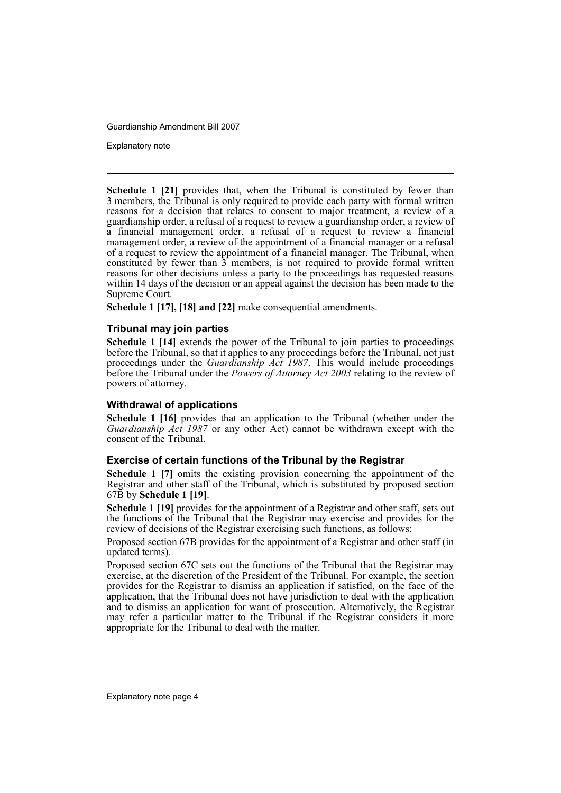Explanatory note

**Schedule 1 [21]** provides that, when the Tribunal is constituted by fewer than 3 members, the Tribunal is only required to provide each party with formal written reasons for a decision that relates to consent to major treatment, a review of a guardianship order, a refusal of a request to review a guardianship order, a review of a financial management order, a refusal of a request to review a financial management order, a review of the appointment of a financial manager or a refusal of a request to review the appointment of a financial manager. The Tribunal, when constituted by fewer than  $3$  members, is not required to provide formal written reasons for other decisions unless a party to the proceedings has requested reasons within 14 days of the decision or an appeal against the decision has been made to the Supreme Court.

**Schedule 1 [17], [18] and [22]** make consequential amendments.

### **Tribunal may join parties**

**Schedule 1 [14]** extends the power of the Tribunal to join parties to proceedings before the Tribunal, so that it applies to any proceedings before the Tribunal, not just proceedings under the *Guardianship Act 1987*. This would include proceedings before the Tribunal under the *Powers of Attorney Act 2003* relating to the review of powers of attorney.

### **Withdrawal of applications**

**Schedule 1 [16]** provides that an application to the Tribunal (whether under the *Guardianship Act 1987* or any other Act) cannot be withdrawn except with the consent of the Tribunal.

### **Exercise of certain functions of the Tribunal by the Registrar**

**Schedule 1 [7]** omits the existing provision concerning the appointment of the Registrar and other staff of the Tribunal, which is substituted by proposed section 67B by **Schedule 1 [19]**.

**Schedule 1 [19]** provides for the appointment of a Registrar and other staff, sets out the functions of the Tribunal that the Registrar may exercise and provides for the review of decisions of the Registrar exercising such functions, as follows:

Proposed section 67B provides for the appointment of a Registrar and other staff (in updated terms).

Proposed section 67C sets out the functions of the Tribunal that the Registrar may exercise, at the discretion of the President of the Tribunal. For example, the section provides for the Registrar to dismiss an application if satisfied, on the face of the application, that the Tribunal does not have jurisdiction to deal with the application and to dismiss an application for want of prosecution. Alternatively, the Registrar may refer a particular matter to the Tribunal if the Registrar considers it more appropriate for the Tribunal to deal with the matter.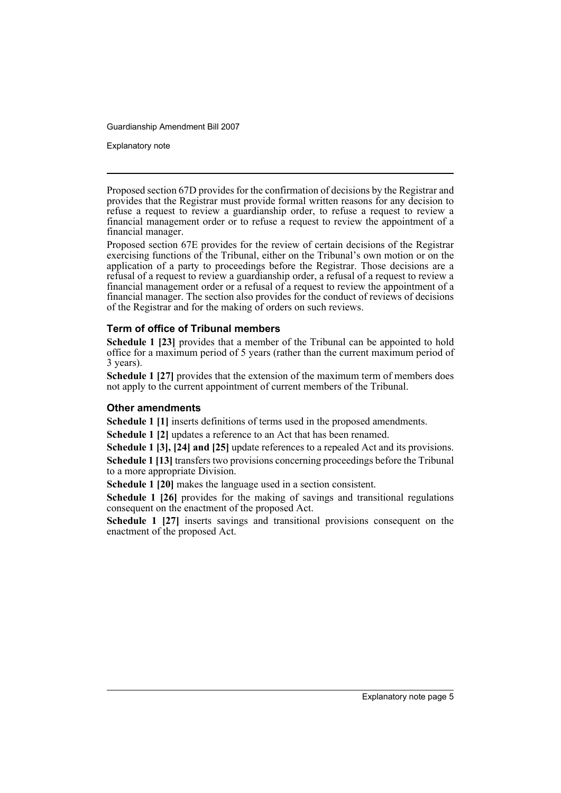Explanatory note

Proposed section 67D provides for the confirmation of decisions by the Registrar and provides that the Registrar must provide formal written reasons for any decision to refuse a request to review a guardianship order, to refuse a request to review a financial management order or to refuse a request to review the appointment of a financial manager.

Proposed section 67E provides for the review of certain decisions of the Registrar exercising functions of the Tribunal, either on the Tribunal's own motion or on the application of a party to proceedings before the Registrar. Those decisions are a refusal of a request to review a guardianship order, a refusal of a request to review a financial management order or a refusal of a request to review the appointment of a financial manager. The section also provides for the conduct of reviews of decisions of the Registrar and for the making of orders on such reviews.

### **Term of office of Tribunal members**

**Schedule 1 [23]** provides that a member of the Tribunal can be appointed to hold office for a maximum period of 5 years (rather than the current maximum period of 3 years).

**Schedule 1 [27]** provides that the extension of the maximum term of members does not apply to the current appointment of current members of the Tribunal.

### **Other amendments**

**Schedule 1 [1]** inserts definitions of terms used in the proposed amendments.

**Schedule 1 [2]** updates a reference to an Act that has been renamed.

**Schedule 1 [3], [24] and [25]** update references to a repealed Act and its provisions. **Schedule 1 [13]** transfers two provisions concerning proceedings before the Tribunal to a more appropriate Division.

**Schedule 1 [20]** makes the language used in a section consistent.

**Schedule 1 [26]** provides for the making of savings and transitional regulations consequent on the enactment of the proposed Act.

**Schedule 1 [27]** inserts savings and transitional provisions consequent on the enactment of the proposed Act.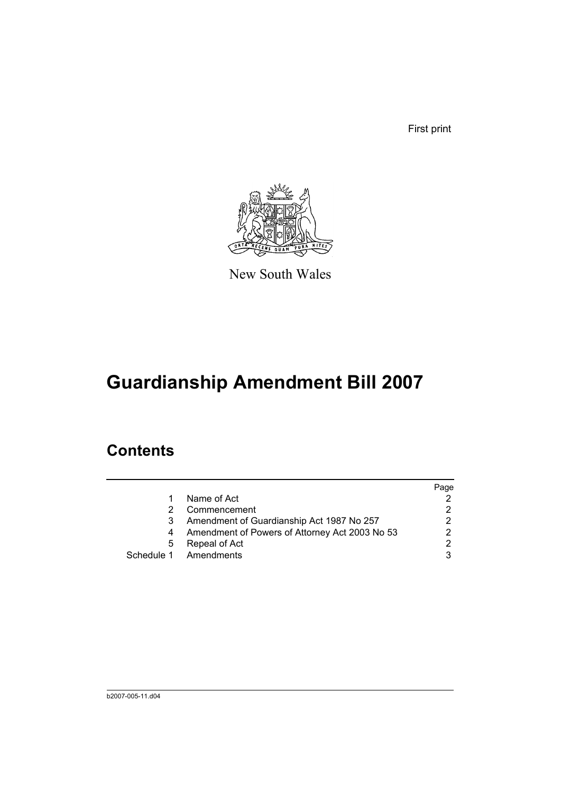First print



New South Wales

# **Guardianship Amendment Bill 2007**

# **Contents**

|   |                                                | Page |
|---|------------------------------------------------|------|
|   | Name of Act                                    |      |
|   | Commencement                                   | 2    |
|   | Amendment of Guardianship Act 1987 No 257      | 2    |
|   | Amendment of Powers of Attorney Act 2003 No 53 | 2    |
| 5 | Repeal of Act                                  | 2    |
|   | Schedule 1 Amendments                          | 3    |
|   |                                                |      |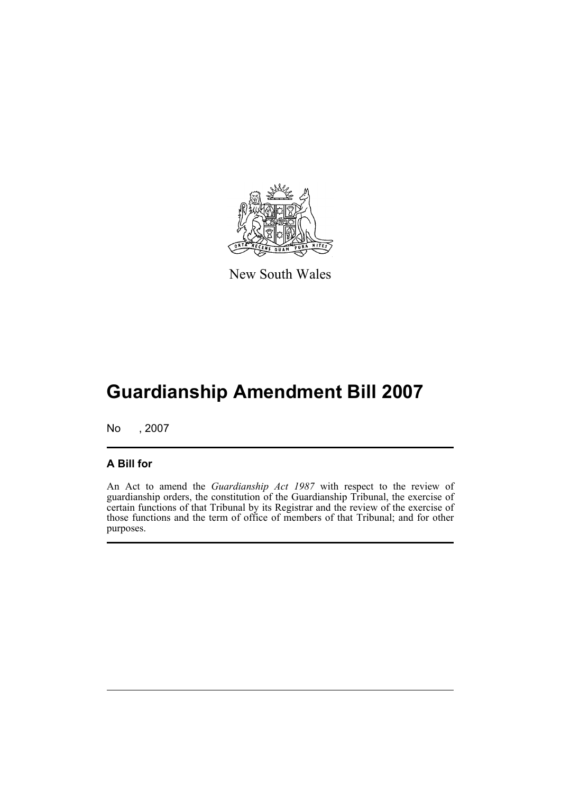

New South Wales

# **Guardianship Amendment Bill 2007**

No , 2007

### **A Bill for**

An Act to amend the *Guardianship Act 1987* with respect to the review of guardianship orders, the constitution of the Guardianship Tribunal, the exercise of certain functions of that Tribunal by its Registrar and the review of the exercise of those functions and the term of office of members of that Tribunal; and for other purposes.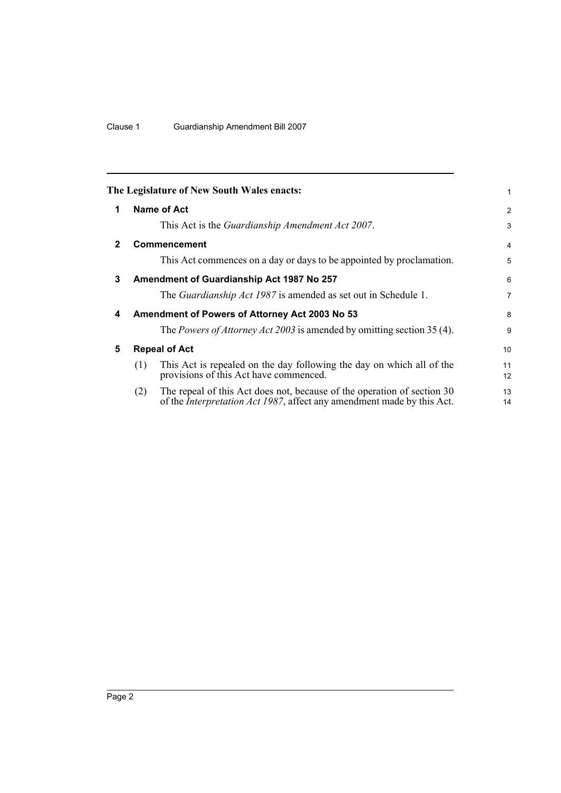<span id="page-9-4"></span><span id="page-9-3"></span><span id="page-9-2"></span><span id="page-9-1"></span><span id="page-9-0"></span>

|              |     | The Legislature of New South Wales enacts:                                                                                                                | 1              |
|--------------|-----|-----------------------------------------------------------------------------------------------------------------------------------------------------------|----------------|
| 1            |     | Name of Act                                                                                                                                               | $\overline{2}$ |
|              |     | This Act is the <i>Guardianship Amendment Act 2007</i> .                                                                                                  | 3              |
| $\mathbf{2}$ |     | <b>Commencement</b>                                                                                                                                       | $\overline{4}$ |
|              |     | This Act commences on a day or days to be appointed by proclamation.                                                                                      | 5              |
| 3            |     | Amendment of Guardianship Act 1987 No 257                                                                                                                 | 6              |
|              |     | The <i>Guardianship Act 1987</i> is amended as set out in Schedule 1.                                                                                     | 7              |
| 4            |     | Amendment of Powers of Attorney Act 2003 No 53                                                                                                            | 8              |
|              |     | The <i>Powers of Attorney Act 2003</i> is amended by omitting section 35 (4).                                                                             | 9              |
| 5            |     | <b>Repeal of Act</b>                                                                                                                                      | 10             |
|              | (1) | This Act is repealed on the day following the day on which all of the<br>provisions of this Act have commenced.                                           | 11<br>12       |
|              | (2) | The repeal of this Act does not, because of the operation of section 30<br>of the <i>Interpretation Act 1987</i> , affect any amendment made by this Act. | 13<br>14       |
|              |     |                                                                                                                                                           |                |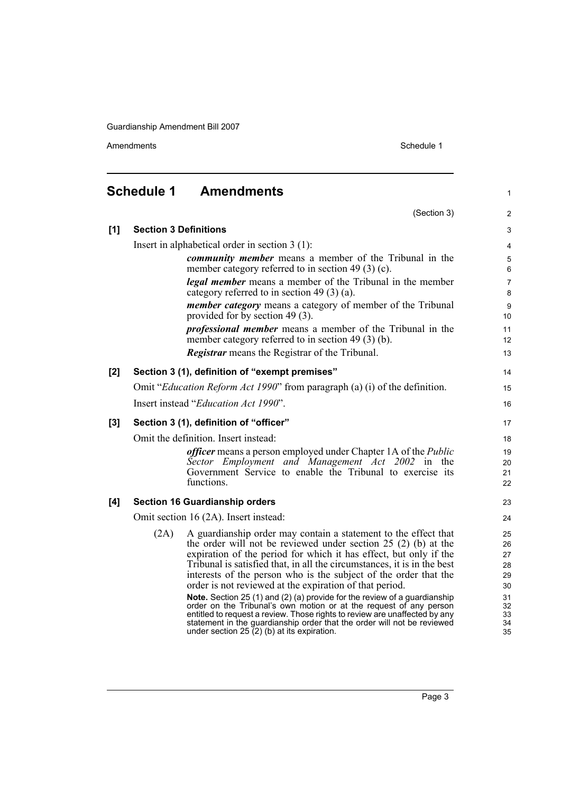<span id="page-10-0"></span>Amendments Schedule 1

(Section 3)

1

2

| $[1]$ | <b>Section 3 Definitions</b>         |                                                                                                                                                                                                                                                                                                                                                                                                                                                                                                                                                                                                                                                                                                                                                                                | 3                                                              |  |  |  |
|-------|--------------------------------------|--------------------------------------------------------------------------------------------------------------------------------------------------------------------------------------------------------------------------------------------------------------------------------------------------------------------------------------------------------------------------------------------------------------------------------------------------------------------------------------------------------------------------------------------------------------------------------------------------------------------------------------------------------------------------------------------------------------------------------------------------------------------------------|----------------------------------------------------------------|--|--|--|
|       |                                      | Insert in alphabetical order in section $3(1)$ :                                                                                                                                                                                                                                                                                                                                                                                                                                                                                                                                                                                                                                                                                                                               | $\overline{4}$                                                 |  |  |  |
|       |                                      | <i>community member</i> means a member of the Tribunal in the<br>member category referred to in section 49 $(3)$ (c).                                                                                                                                                                                                                                                                                                                                                                                                                                                                                                                                                                                                                                                          | 5<br>6                                                         |  |  |  |
|       |                                      | <b>legal member</b> means a member of the Tribunal in the member<br>category referred to in section 49 $(3)$ (a).                                                                                                                                                                                                                                                                                                                                                                                                                                                                                                                                                                                                                                                              | $\overline{7}$<br>8                                            |  |  |  |
|       |                                      | <i>member category</i> means a category of member of the Tribunal<br>provided for by section 49 (3).                                                                                                                                                                                                                                                                                                                                                                                                                                                                                                                                                                                                                                                                           | $\boldsymbol{9}$<br>10                                         |  |  |  |
|       |                                      | <i>professional member</i> means a member of the Tribunal in the<br>member category referred to in section $49(3)$ (b).                                                                                                                                                                                                                                                                                                                                                                                                                                                                                                                                                                                                                                                        | 11<br>12                                                       |  |  |  |
|       |                                      | <b>Registrar</b> means the Registrar of the Tribunal.                                                                                                                                                                                                                                                                                                                                                                                                                                                                                                                                                                                                                                                                                                                          | 13                                                             |  |  |  |
| [2]   |                                      | Section 3 (1), definition of "exempt premises"                                                                                                                                                                                                                                                                                                                                                                                                                                                                                                                                                                                                                                                                                                                                 | 14                                                             |  |  |  |
|       |                                      | Omit " <i>Education Reform Act 1990</i> " from paragraph (a) (i) of the definition.                                                                                                                                                                                                                                                                                                                                                                                                                                                                                                                                                                                                                                                                                            | 15                                                             |  |  |  |
|       | Insert instead "Education Act 1990". |                                                                                                                                                                                                                                                                                                                                                                                                                                                                                                                                                                                                                                                                                                                                                                                |                                                                |  |  |  |
| [3]   |                                      | Section 3 (1), definition of "officer"                                                                                                                                                                                                                                                                                                                                                                                                                                                                                                                                                                                                                                                                                                                                         | 17                                                             |  |  |  |
|       | Omit the definition. Insert instead: |                                                                                                                                                                                                                                                                                                                                                                                                                                                                                                                                                                                                                                                                                                                                                                                |                                                                |  |  |  |
|       |                                      | <i>officer</i> means a person employed under Chapter 1A of the <i>Public</i><br>Sector Employment and Management Act 2002 in the<br>Government Service to enable the Tribunal to exercise its<br>functions.                                                                                                                                                                                                                                                                                                                                                                                                                                                                                                                                                                    | 19<br>20<br>21<br>22                                           |  |  |  |
| [4]   |                                      | <b>Section 16 Guardianship orders</b>                                                                                                                                                                                                                                                                                                                                                                                                                                                                                                                                                                                                                                                                                                                                          | 23                                                             |  |  |  |
|       |                                      | Omit section 16 (2A). Insert instead:                                                                                                                                                                                                                                                                                                                                                                                                                                                                                                                                                                                                                                                                                                                                          | 24                                                             |  |  |  |
|       | (2A)                                 | A guardianship order may contain a statement to the effect that<br>the order will not be reviewed under section $25(2)$ (b) at the<br>expiration of the period for which it has effect, but only if the<br>Tribunal is satisfied that, in all the circumstances, it is in the best<br>interests of the person who is the subject of the order that the<br>order is not reviewed at the expiration of that period.<br>Note. Section 25 (1) and (2) (a) provide for the review of a guardianship<br>order on the Tribunal's own motion or at the request of any person<br>entitled to request a review. Those rights to review are unaffected by any<br>statement in the guardianship order that the order will not be reviewed<br>under section 25 $(2)$ (b) at its expiration. | 25<br>26<br>27<br>28<br>29<br>30<br>31<br>32<br>33<br>34<br>35 |  |  |  |
|       |                                      |                                                                                                                                                                                                                                                                                                                                                                                                                                                                                                                                                                                                                                                                                                                                                                                |                                                                |  |  |  |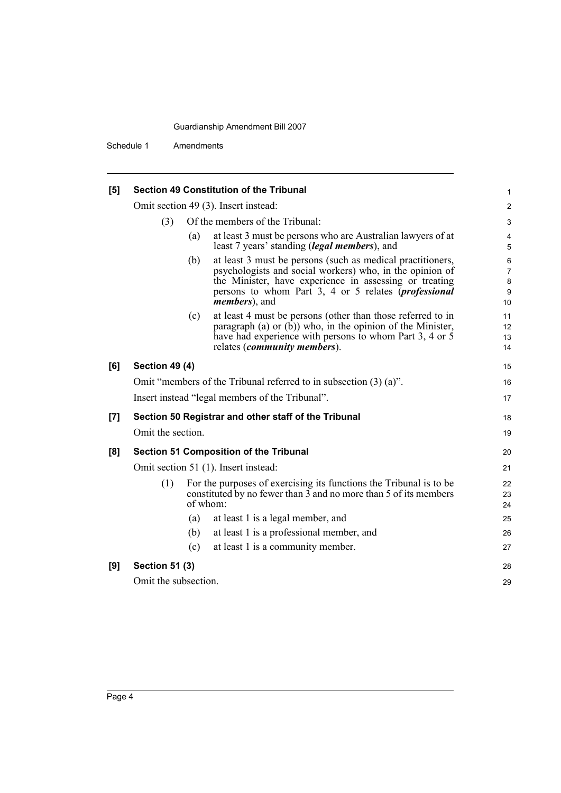| [5] |                       |     | <b>Section 49 Constitution of the Tribunal</b>                                                                                                                                                                                                                             | 1                                   |  |
|-----|-----------------------|-----|----------------------------------------------------------------------------------------------------------------------------------------------------------------------------------------------------------------------------------------------------------------------------|-------------------------------------|--|
|     |                       |     | Omit section 49 (3). Insert instead:                                                                                                                                                                                                                                       | $\overline{\mathbf{c}}$             |  |
|     | (3)                   |     | Of the members of the Tribunal:                                                                                                                                                                                                                                            |                                     |  |
|     |                       | (a) | at least 3 must be persons who are Australian lawyers of at<br>least 7 years' standing <i>(legal members)</i> , and                                                                                                                                                        | 4<br>5                              |  |
|     |                       | (b) | at least 3 must be persons (such as medical practitioners,<br>psychologists and social workers) who, in the opinion of<br>the Minister, have experience in assessing or treating<br>persons to whom Part 3, 4 or 5 relates <i>(professional</i> )<br><i>members</i> ), and | 6<br>$\overline{7}$<br>8<br>9<br>10 |  |
|     |                       | (c) | at least 4 must be persons (other than those referred to in<br>paragraph (a) or $(b)$ ) who, in the opinion of the Minister,<br>have had experience with persons to whom Part 3, 4 or 5<br>relates ( <i>community members</i> ).                                           | 11<br>12<br>13<br>14                |  |
| [6] | <b>Section 49 (4)</b> |     |                                                                                                                                                                                                                                                                            | 15                                  |  |
|     |                       |     | Omit "members of the Tribunal referred to in subsection $(3)$ $(a)$ ".                                                                                                                                                                                                     | 16                                  |  |
|     |                       |     | Insert instead "legal members of the Tribunal".                                                                                                                                                                                                                            | 17                                  |  |
| [7] |                       |     | Section 50 Registrar and other staff of the Tribunal                                                                                                                                                                                                                       | 18                                  |  |
|     | Omit the section.     |     |                                                                                                                                                                                                                                                                            | 19                                  |  |
| [8] |                       |     | <b>Section 51 Composition of the Tribunal</b>                                                                                                                                                                                                                              | 20                                  |  |
|     |                       |     | Omit section 51 (1). Insert instead:                                                                                                                                                                                                                                       | 21                                  |  |
|     | (1)                   |     | For the purposes of exercising its functions the Tribunal is to be.<br>constituted by no fewer than 3 and no more than 5 of its members<br>$of$ whom:                                                                                                                      | 22<br>23<br>24                      |  |
|     |                       | (a) | at least 1 is a legal member, and                                                                                                                                                                                                                                          | 25                                  |  |
|     |                       | (b) | at least 1 is a professional member, and                                                                                                                                                                                                                                   | 26                                  |  |
|     |                       | (c) | at least 1 is a community member.                                                                                                                                                                                                                                          | 27                                  |  |
| [9] | <b>Section 51 (3)</b> |     |                                                                                                                                                                                                                                                                            | 28                                  |  |
|     | Omit the subsection.  |     |                                                                                                                                                                                                                                                                            | 29                                  |  |
|     |                       |     |                                                                                                                                                                                                                                                                            |                                     |  |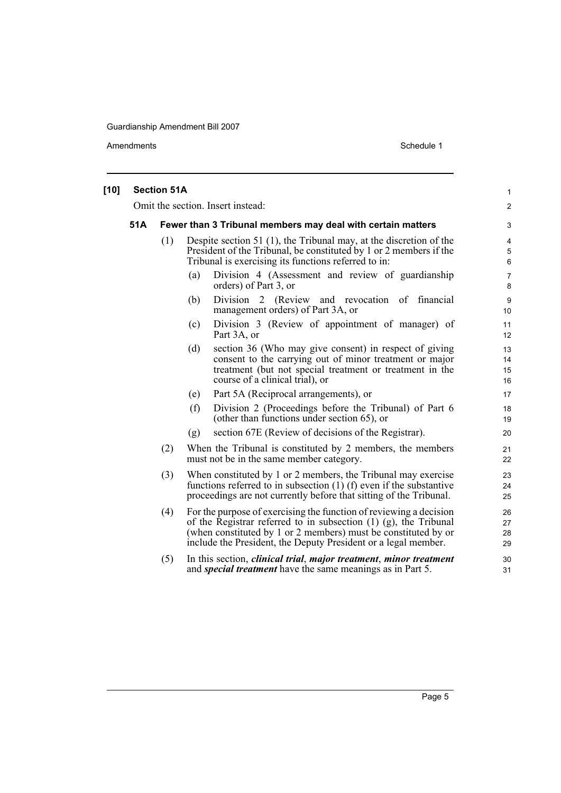| $[10]$ | <b>Section 51A</b> |     |     |                                                                                                                                                                                                                                                                                 |                                   |  |
|--------|--------------------|-----|-----|---------------------------------------------------------------------------------------------------------------------------------------------------------------------------------------------------------------------------------------------------------------------------------|-----------------------------------|--|
|        |                    |     |     | Omit the section. Insert instead:                                                                                                                                                                                                                                               | $\overline{\mathbf{c}}$           |  |
|        | 51A                |     |     | Fewer than 3 Tribunal members may deal with certain matters                                                                                                                                                                                                                     | 3                                 |  |
|        |                    | (1) |     | Despite section 51 $(1)$ , the Tribunal may, at the discretion of the<br>President of the Tribunal, be constituted by 1 or 2 members if the<br>Tribunal is exercising its functions referred to in:                                                                             | $\overline{\mathbf{4}}$<br>5<br>6 |  |
|        |                    |     | (a) | Division 4 (Assessment and review of guardianship<br>orders) of Part 3, or                                                                                                                                                                                                      | $\overline{7}$<br>8               |  |
|        |                    |     | (b) | Division 2 (Review and revocation of financial<br>management orders) of Part 3A, or                                                                                                                                                                                             | 9<br>10                           |  |
|        |                    |     | (c) | Division 3 (Review of appointment of manager) of<br>Part 3A, or                                                                                                                                                                                                                 | 11<br>12                          |  |
|        |                    |     | (d) | section 36 (Who may give consent) in respect of giving<br>consent to the carrying out of minor treatment or major<br>treatment (but not special treatment or treatment in the<br>course of a clinical trial), or                                                                | 13<br>14<br>15<br>16              |  |
|        |                    |     | (e) | Part 5A (Reciprocal arrangements), or                                                                                                                                                                                                                                           | 17                                |  |
|        |                    |     | (f) | Division 2 (Proceedings before the Tribunal) of Part 6<br>(other than functions under section 65), or                                                                                                                                                                           | 18<br>19                          |  |
|        |                    |     | (g) | section 67E (Review of decisions of the Registrar).                                                                                                                                                                                                                             | 20                                |  |
|        |                    | (2) |     | When the Tribunal is constituted by 2 members, the members<br>must not be in the same member category.                                                                                                                                                                          | 21<br>22                          |  |
|        |                    | (3) |     | When constituted by 1 or 2 members, the Tribunal may exercise<br>functions referred to in subsection $(1)$ (f) even if the substantive<br>proceedings are not currently before that sitting of the Tribunal.                                                                    | 23<br>24<br>25                    |  |
|        |                    | (4) |     | For the purpose of exercising the function of reviewing a decision<br>of the Registrar referred to in subsection $(1)$ $(g)$ , the Tribunal<br>(when constituted by 1 or 2 members) must be constituted by or<br>include the President, the Deputy President or a legal member. | 26<br>27<br>28<br>29              |  |
|        |                    | (5) |     | In this section, <i>clinical trial</i> , <i>major treatment</i> , <i>minor treatment</i><br>and <i>special treatment</i> have the same meanings as in Part 5.                                                                                                                   | 30<br>31                          |  |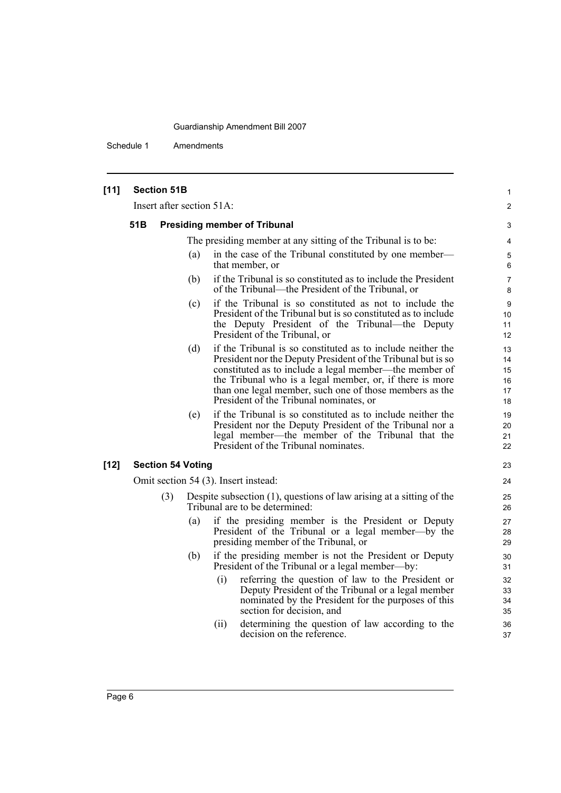| $[11]$ | <b>Section 51B</b>        |     |     |                                                                                                                                                                                                                                                                                                                                                         | 1                                |
|--------|---------------------------|-----|-----|---------------------------------------------------------------------------------------------------------------------------------------------------------------------------------------------------------------------------------------------------------------------------------------------------------------------------------------------------------|----------------------------------|
|        | Insert after section 51A: |     |     |                                                                                                                                                                                                                                                                                                                                                         | $\overline{2}$                   |
|        | 51B                       |     |     | <b>Presiding member of Tribunal</b>                                                                                                                                                                                                                                                                                                                     | 3                                |
|        |                           |     |     | The presiding member at any sitting of the Tribunal is to be:                                                                                                                                                                                                                                                                                           | 4                                |
|        |                           |     | (a) | in the case of the Tribunal constituted by one member—<br>that member, or                                                                                                                                                                                                                                                                               | 5<br>6                           |
|        |                           |     | (b) | if the Tribunal is so constituted as to include the President<br>of the Tribunal—the President of the Tribunal, or                                                                                                                                                                                                                                      | $\overline{7}$<br>8              |
|        |                           |     | (c) | if the Tribunal is so constituted as not to include the<br>President of the Tribunal but is so constituted as to include<br>the Deputy President of the Tribunal—the Deputy<br>President of the Tribunal, or                                                                                                                                            | 9<br>10<br>11<br>12              |
|        |                           |     | (d) | if the Tribunal is so constituted as to include neither the<br>President nor the Deputy President of the Tribunal but is so<br>constituted as to include a legal member—the member of<br>the Tribunal who is a legal member, or, if there is more<br>than one legal member, such one of those members as the<br>President of the Tribunal nominates, or | 13<br>14<br>15<br>16<br>17<br>18 |
|        |                           |     | (e) | if the Tribunal is so constituted as to include neither the<br>President nor the Deputy President of the Tribunal nor a<br>legal member—the member of the Tribunal that the<br>President of the Tribunal nominates.                                                                                                                                     | 19<br>20<br>21<br>22             |
| $[12]$ | <b>Section 54 Voting</b>  |     |     |                                                                                                                                                                                                                                                                                                                                                         | 23                               |
|        |                           |     |     | Omit section 54 (3). Insert instead:                                                                                                                                                                                                                                                                                                                    | 24                               |
|        |                           | (3) |     | Despite subsection $(1)$ , questions of law arising at a sitting of the<br>Tribunal are to be determined:                                                                                                                                                                                                                                               | 25<br>26                         |
|        |                           |     | (a) | if the presiding member is the President or Deputy<br>President of the Tribunal or a legal member—by the<br>presiding member of the Tribunal, or                                                                                                                                                                                                        | 27<br>28<br>29                   |
|        |                           |     | (b) | if the presiding member is not the President or Deputy<br>President of the Tribunal or a legal member—by:                                                                                                                                                                                                                                               | 30<br>31                         |
|        |                           |     |     | (i)<br>referring the question of law to the President or<br>Deputy President of the Tribunal or a legal member<br>nominated by the President for the purposes of this<br>section for decision, and                                                                                                                                                      | 32<br>33<br>34<br>35             |
|        |                           |     |     | determining the question of law according to the<br>(ii)<br>decision on the reference.                                                                                                                                                                                                                                                                  | 36<br>37                         |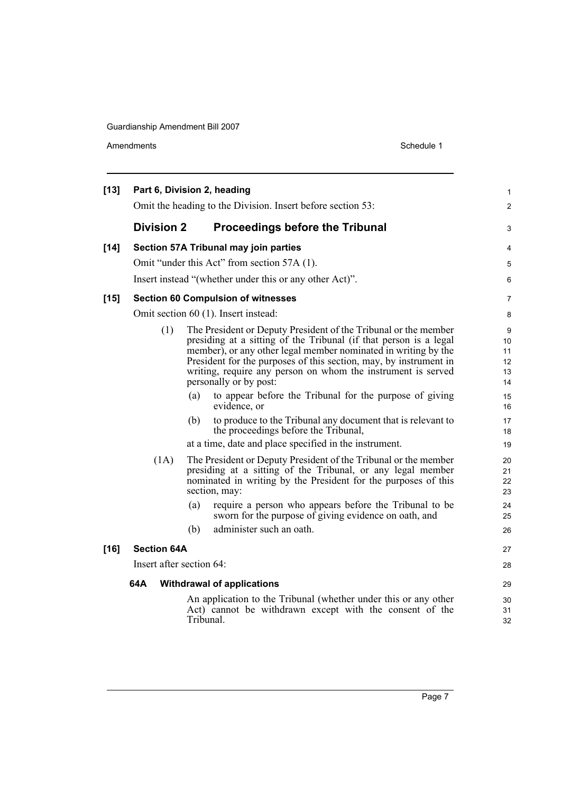| $[13]$ |                          |      |           | Part 6, Division 2, heading                                                                                                                                                                                                                                                                                                                                           | 1                               |
|--------|--------------------------|------|-----------|-----------------------------------------------------------------------------------------------------------------------------------------------------------------------------------------------------------------------------------------------------------------------------------------------------------------------------------------------------------------------|---------------------------------|
|        |                          |      |           | Omit the heading to the Division. Insert before section 53:                                                                                                                                                                                                                                                                                                           | $\overline{2}$                  |
|        | <b>Division 2</b>        |      |           | <b>Proceedings before the Tribunal</b>                                                                                                                                                                                                                                                                                                                                | 3                               |
| $[14]$ |                          |      |           | Section 57A Tribunal may join parties                                                                                                                                                                                                                                                                                                                                 | 4                               |
|        |                          |      |           | Omit "under this Act" from section 57A (1).                                                                                                                                                                                                                                                                                                                           | 5                               |
|        |                          |      |           | Insert instead "(whether under this or any other Act)".                                                                                                                                                                                                                                                                                                               | 6                               |
| $[15]$ |                          |      |           | <b>Section 60 Compulsion of witnesses</b>                                                                                                                                                                                                                                                                                                                             | $\overline{7}$                  |
|        |                          |      |           | Omit section 60 (1). Insert instead:                                                                                                                                                                                                                                                                                                                                  | 8                               |
|        |                          | (1)  |           | The President or Deputy President of the Tribunal or the member<br>presiding at a sitting of the Tribunal (if that person is a legal<br>member), or any other legal member nominated in writing by the<br>President for the purposes of this section, may, by instrument in<br>writing, require any person on whom the instrument is served<br>personally or by post: | 9<br>10<br>11<br>12<br>13<br>14 |
|        |                          |      | (a)       | to appear before the Tribunal for the purpose of giving<br>evidence, or                                                                                                                                                                                                                                                                                               | 15<br>16                        |
|        |                          |      | (b)       | to produce to the Tribunal any document that is relevant to<br>the proceedings before the Tribunal,                                                                                                                                                                                                                                                                   | 17<br>18                        |
|        |                          |      |           | at a time, date and place specified in the instrument.                                                                                                                                                                                                                                                                                                                | 19                              |
|        |                          | (1A) |           | The President or Deputy President of the Tribunal or the member<br>presiding at a sitting of the Tribunal, or any legal member<br>nominated in writing by the President for the purposes of this<br>section, may:                                                                                                                                                     | 20<br>21<br>22<br>23            |
|        |                          |      | (a)       | require a person who appears before the Tribunal to be<br>sworn for the purpose of giving evidence on oath, and                                                                                                                                                                                                                                                       | 24<br>25                        |
|        |                          |      | (b)       | administer such an oath.                                                                                                                                                                                                                                                                                                                                              | 26                              |
| $[16]$ | <b>Section 64A</b>       |      |           |                                                                                                                                                                                                                                                                                                                                                                       | 27                              |
|        | Insert after section 64: |      |           |                                                                                                                                                                                                                                                                                                                                                                       | 28                              |
|        | 64A                      |      |           | <b>Withdrawal of applications</b>                                                                                                                                                                                                                                                                                                                                     | 29                              |
|        |                          |      | Tribunal. | An application to the Tribunal (whether under this or any other<br>Act) cannot be withdrawn except with the consent of the                                                                                                                                                                                                                                            | 30<br>31<br>32                  |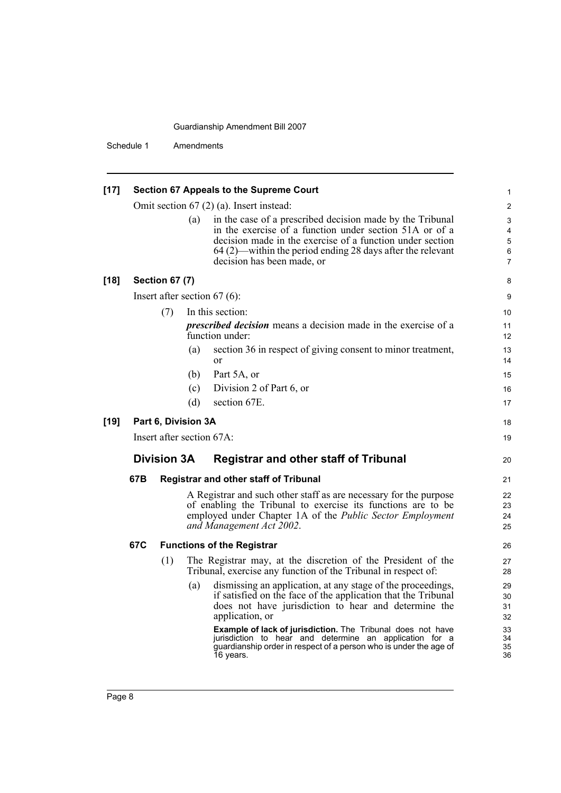| $[17]$ | Section 67 Appeals to the Supreme Court                                                                                   |                       |                           |                                                                                                                                                                                                                                                                               |                                    |
|--------|---------------------------------------------------------------------------------------------------------------------------|-----------------------|---------------------------|-------------------------------------------------------------------------------------------------------------------------------------------------------------------------------------------------------------------------------------------------------------------------------|------------------------------------|
|        |                                                                                                                           |                       |                           | Omit section $67$ (2) (a). Insert instead:                                                                                                                                                                                                                                    | $\overline{c}$                     |
|        |                                                                                                                           |                       | (a)                       | in the case of a prescribed decision made by the Tribunal<br>in the exercise of a function under section 51A or of a<br>decision made in the exercise of a function under section<br>64 (2)—within the period ending 28 days after the relevant<br>decision has been made, or | 3<br>4<br>5<br>6<br>$\overline{7}$ |
| $[18]$ |                                                                                                                           | <b>Section 67 (7)</b> |                           |                                                                                                                                                                                                                                                                               | 8                                  |
|        |                                                                                                                           |                       |                           | Insert after section $67(6)$ :                                                                                                                                                                                                                                                | 9                                  |
|        |                                                                                                                           | (7)                   |                           | In this section:                                                                                                                                                                                                                                                              | 10                                 |
|        |                                                                                                                           |                       |                           | <i>prescribed decision</i> means a decision made in the exercise of a<br>function under:                                                                                                                                                                                      | 11<br>12                           |
|        |                                                                                                                           |                       | (a)                       | section 36 in respect of giving consent to minor treatment,<br><sub>or</sub>                                                                                                                                                                                                  | 13<br>14                           |
|        |                                                                                                                           |                       | (b)                       | Part 5A, or                                                                                                                                                                                                                                                                   | 15                                 |
|        |                                                                                                                           |                       | (c)                       | Division 2 of Part 6, or                                                                                                                                                                                                                                                      | 16                                 |
|        |                                                                                                                           |                       | (d)                       | section 67E.                                                                                                                                                                                                                                                                  | 17                                 |
| $[19]$ |                                                                                                                           |                       | Part 6, Division 3A       |                                                                                                                                                                                                                                                                               | 18                                 |
|        |                                                                                                                           |                       | Insert after section 67A: |                                                                                                                                                                                                                                                                               | 19                                 |
|        | <b>Division 3A</b><br><b>Registrar and other staff of Tribunal</b><br>67B<br><b>Registrar and other staff of Tribunal</b> |                       |                           | 20                                                                                                                                                                                                                                                                            |                                    |
|        |                                                                                                                           |                       |                           | 21                                                                                                                                                                                                                                                                            |                                    |
|        |                                                                                                                           |                       |                           | A Registrar and such other staff as are necessary for the purpose<br>of enabling the Tribunal to exercise its functions are to be<br>employed under Chapter 1A of the Public Sector Employment<br>and Management Act 2002.                                                    | 22<br>23<br>24<br>25               |
|        | 67C                                                                                                                       |                       |                           | <b>Functions of the Registrar</b>                                                                                                                                                                                                                                             | 26                                 |
|        |                                                                                                                           | (1)                   |                           | The Registrar may, at the discretion of the President of the<br>Tribunal, exercise any function of the Tribunal in respect of:                                                                                                                                                | 27<br>28                           |
|        |                                                                                                                           |                       | (a)                       | dismissing an application, at any stage of the proceedings,<br>if satisfied on the face of the application that the Tribunal<br>does not have jurisdiction to hear and determine the<br>application, or                                                                       | 29<br>30<br>31<br>32               |
|        |                                                                                                                           |                       |                           | Example of lack of jurisdiction. The Tribunal does not have<br>jurisdiction to hear and determine an application for a<br>guardianship order in respect of a person who is under the age of<br>16 years.                                                                      | 33<br>34<br>35<br>36               |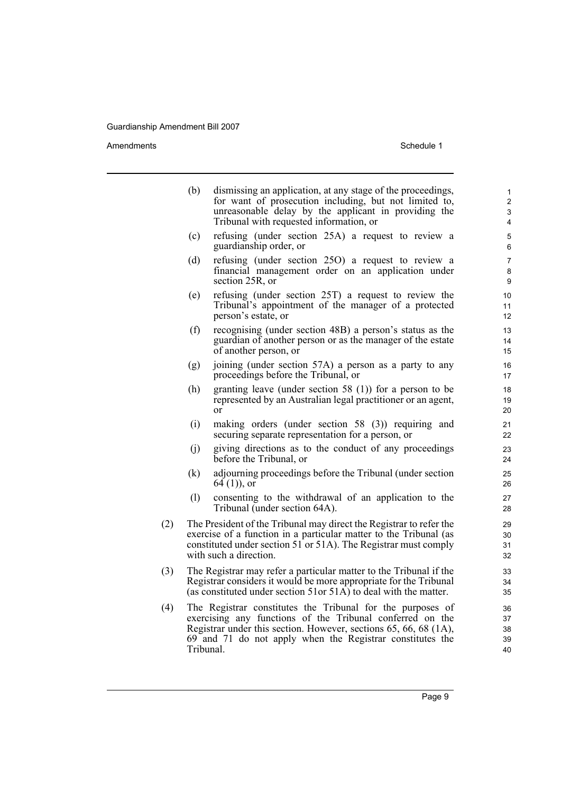|     | (b)       | dismissing an application, at any stage of the proceedings,<br>for want of prosecution including, but not limited to,<br>unreasonable delay by the applicant in providing the<br>Tribunal with requested information, or                                 | $\mathbf{1}$<br>$\overline{2}$<br>$\mathfrak{S}$<br>4 |  |  |  |
|-----|-----------|----------------------------------------------------------------------------------------------------------------------------------------------------------------------------------------------------------------------------------------------------------|-------------------------------------------------------|--|--|--|
|     | (c)       | refusing (under section 25A) a request to review a<br>guardianship order, or                                                                                                                                                                             | 5<br>6                                                |  |  |  |
|     | (d)       | refusing (under section 25O) a request to review a<br>financial management order on an application under<br>section 25R, or                                                                                                                              | 7<br>8<br>$\boldsymbol{9}$                            |  |  |  |
|     | (e)       | refusing (under section 25T) a request to review the<br>Tribunal's appointment of the manager of a protected<br>person's estate, or                                                                                                                      | 10<br>11<br>12                                        |  |  |  |
|     | (f)       | recognising (under section 48B) a person's status as the<br>guardian of another person or as the manager of the estate<br>of another person, or                                                                                                          | 13<br>14<br>15                                        |  |  |  |
|     | (g)       | joining (under section 57A) a person as a party to any<br>proceedings before the Tribunal, or                                                                                                                                                            | 16<br>17                                              |  |  |  |
|     | (h)       | granting leave (under section 58 $(1)$ ) for a person to be<br>represented by an Australian legal practitioner or an agent,<br><sub>or</sub>                                                                                                             | 18<br>19<br>20                                        |  |  |  |
|     | (i)       | making orders (under section $58$ (3)) requiring and<br>securing separate representation for a person, or                                                                                                                                                | 21<br>22                                              |  |  |  |
|     | (i)       | giving directions as to the conduct of any proceedings<br>before the Tribunal, or                                                                                                                                                                        | 23<br>24                                              |  |  |  |
|     | (k)       | adjourning proceedings before the Tribunal (under section<br>$64(1)$ , or                                                                                                                                                                                | 25<br>26                                              |  |  |  |
|     | (1)       | consenting to the withdrawal of an application to the<br>Tribunal (under section 64A).                                                                                                                                                                   | 27<br>28                                              |  |  |  |
| (2) |           | The President of the Tribunal may direct the Registrar to refer the<br>exercise of a function in a particular matter to the Tribunal (as<br>constituted under section 51 or 51A). The Registrar must comply<br>with such a direction.                    | 29<br>30<br>31<br>32                                  |  |  |  |
| (3) |           | The Registrar may refer a particular matter to the Tribunal if the<br>33<br>Registrar considers it would be more appropriate for the Tribunal<br>34<br>(as constituted under section 51or 51 $\widehat{A}$ ) to deal with the matter.<br>35              |                                                       |  |  |  |
| (4) | Tribunal. | The Registrar constitutes the Tribunal for the purposes of<br>exercising any functions of the Tribunal conferred on the<br>Registrar under this section. However, sections 65, 66, 68 (1A),<br>69 and 71 do not apply when the Registrar constitutes the | 36<br>37<br>38<br>39<br>40                            |  |  |  |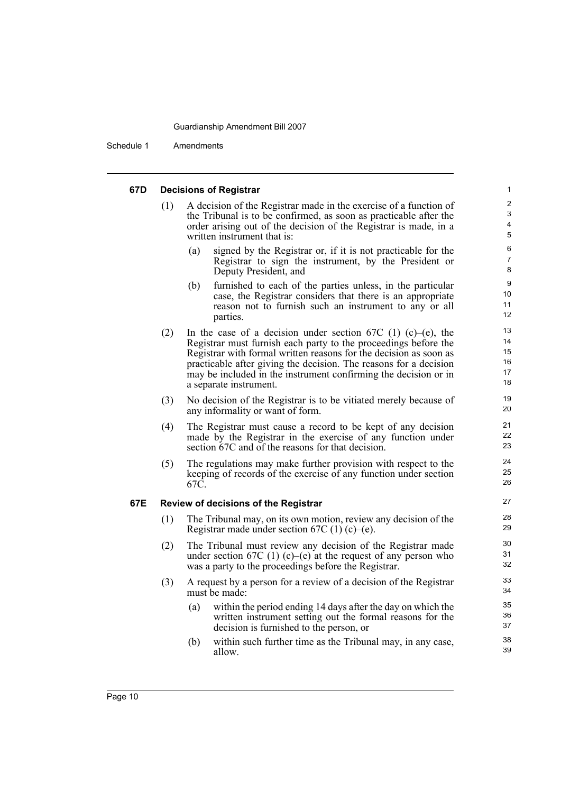Schedule 1 Amendments

### **67D Decisions of Registrar**

- (1) A decision of the Registrar made in the exercise of a function of the Tribunal is to be confirmed, as soon as practicable after the order arising out of the decision of the Registrar is made, in a written instrument that is:
	- (a) signed by the Registrar or, if it is not practicable for the Registrar to sign the instrument, by the President or Deputy President, and

- (b) furnished to each of the parties unless, in the particular case, the Registrar considers that there is an appropriate reason not to furnish such an instrument to any or all parties.
- (2) In the case of a decision under section 67C (1) (c)–(e), the Registrar must furnish each party to the proceedings before the Registrar with formal written reasons for the decision as soon as practicable after giving the decision. The reasons for a decision may be included in the instrument confirming the decision or in a separate instrument.
- (3) No decision of the Registrar is to be vitiated merely because of any informality or want of form.
- (4) The Registrar must cause a record to be kept of any decision made by the Registrar in the exercise of any function under section 67C and of the reasons for that decision.
- (5) The regulations may make further provision with respect to the keeping of records of the exercise of any function under section 67C.

### **67E Review of decisions of the Registrar**

- (1) The Tribunal may, on its own motion, review any decision of the Registrar made under section  $67C(1)(c)$ –(e).
- (2) The Tribunal must review any decision of the Registrar made under section 67C (1) (c)–(e) at the request of any person who was a party to the proceedings before the Registrar.
- (3) A request by a person for a review of a decision of the Registrar must be made:
	- (a) within the period ending 14 days after the day on which the written instrument setting out the formal reasons for the decision is furnished to the person, or
	- (b) within such further time as the Tribunal may, in any case, allow.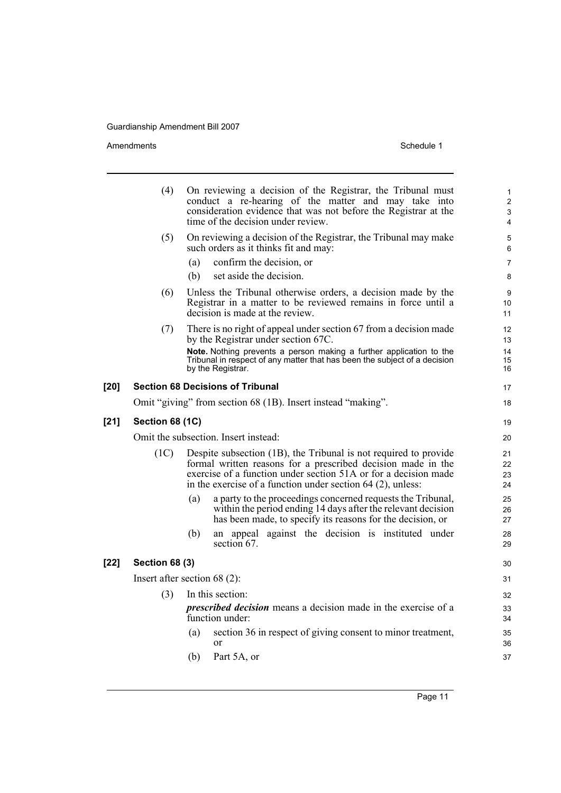Amendments Schedule 1

[20]

[21]

**[22] Section 68 (3)**

| (4)                    | On reviewing a decision of the Registrar, the Tribunal must<br>conduct a re-hearing of the matter and may take into<br>consideration evidence that was not before the Registrar at the<br>time of the decision under review. | $\mathbf{1}$<br>$\overline{2}$<br>3<br>$\overline{4}$ |
|------------------------|------------------------------------------------------------------------------------------------------------------------------------------------------------------------------------------------------------------------------|-------------------------------------------------------|
| (5)                    | On reviewing a decision of the Registrar, the Tribunal may make<br>such orders as it thinks fit and may:                                                                                                                     | 5<br>6                                                |
|                        | (a)<br>confirm the decision, or                                                                                                                                                                                              | $\overline{7}$                                        |
|                        | (b)<br>set aside the decision.                                                                                                                                                                                               | 8                                                     |
| (6)                    | Unless the Tribunal otherwise orders, a decision made by the<br>Registrar in a matter to be reviewed remains in force until a<br>decision is made at the review.                                                             | 9<br>10<br>11                                         |
| (7)                    | There is no right of appeal under section 67 from a decision made<br>by the Registrar under section 67C.                                                                                                                     | 12<br>13                                              |
|                        | Note. Nothing prevents a person making a further application to the<br>Tribunal in respect of any matter that has been the subject of a decision<br>by the Registrar.                                                        | 14<br>15<br>16                                        |
|                        | <b>Section 68 Decisions of Tribunal</b>                                                                                                                                                                                      | 17                                                    |
|                        | Omit "giving" from section 68 (1B). Insert instead "making".                                                                                                                                                                 | 18                                                    |
| <b>Section 68 (1C)</b> |                                                                                                                                                                                                                              | 19                                                    |
|                        | Omit the subsection. Insert instead:                                                                                                                                                                                         | 20                                                    |
|                        |                                                                                                                                                                                                                              |                                                       |
| (1C)                   | Despite subsection (1B), the Tribunal is not required to provide<br>formal written reasons for a prescribed decision made in the                                                                                             | 21<br>22                                              |
|                        | exercise of a function under section 51A or for a decision made                                                                                                                                                              | 23                                                    |
|                        | in the exercise of a function under section $64$ (2), unless:                                                                                                                                                                | 24                                                    |
|                        | a party to the proceedings concerned requests the Tribunal,<br>(a)<br>within the period ending 14 days after the relevant decision<br>has been made, to specify its reasons for the decision, or                             | 25<br>26<br>27                                        |
|                        | an appeal against the decision is instituted under<br>(b)<br>section 67.                                                                                                                                                     | 28<br>29                                              |
| <b>Section 68 (3)</b>  |                                                                                                                                                                                                                              | 30                                                    |
|                        | Insert after section $68(2)$ :                                                                                                                                                                                               | 31                                                    |
| (3)                    | In this section:                                                                                                                                                                                                             | 32                                                    |
|                        | <i>prescribed decision</i> means a decision made in the exercise of a<br>function under:                                                                                                                                     | 33<br>34                                              |
|                        | section 36 in respect of giving consent to minor treatment,<br>(a)                                                                                                                                                           | 35                                                    |
|                        | or                                                                                                                                                                                                                           | 36                                                    |
|                        | Part 5A, or<br>(b)                                                                                                                                                                                                           | 37                                                    |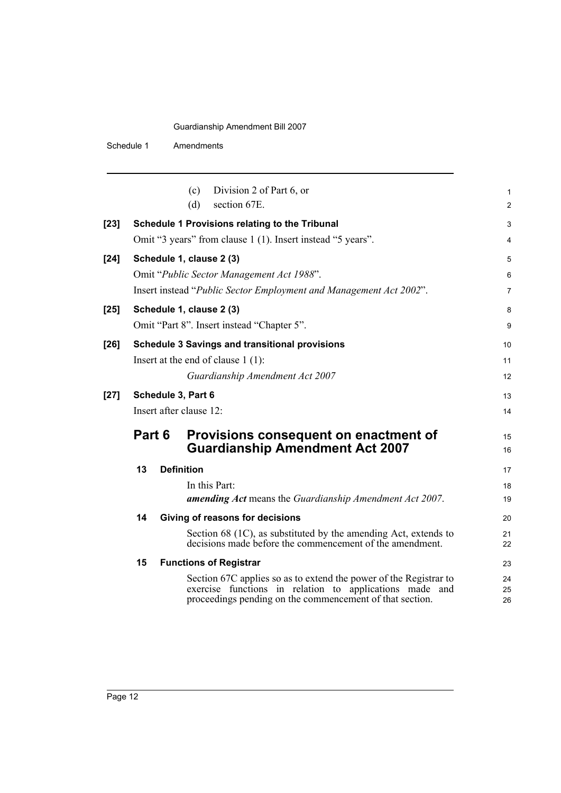|        |        | (c)                     | Division 2 of Part 6, or                                                                                                                                                                 | 1              |
|--------|--------|-------------------------|------------------------------------------------------------------------------------------------------------------------------------------------------------------------------------------|----------------|
|        |        | (d)                     | section 67E.                                                                                                                                                                             | 2              |
| $[23]$ |        |                         | Schedule 1 Provisions relating to the Tribunal                                                                                                                                           | 3              |
|        |        |                         | Omit "3 years" from clause 1 (1). Insert instead "5 years".                                                                                                                              | 4              |
| $[24]$ |        |                         | Schedule 1, clause 2 (3)                                                                                                                                                                 | 5              |
|        |        |                         | Omit "Public Sector Management Act 1988".                                                                                                                                                | 6              |
|        |        |                         | Insert instead "Public Sector Employment and Management Act 2002".                                                                                                                       | 7              |
| $[25]$ |        |                         | Schedule 1, clause 2 (3)                                                                                                                                                                 | 8              |
|        |        |                         | Omit "Part 8". Insert instead "Chapter 5".                                                                                                                                               | 9              |
| $[26]$ |        |                         | <b>Schedule 3 Savings and transitional provisions</b>                                                                                                                                    | 10             |
|        |        |                         | Insert at the end of clause $1(1)$ :                                                                                                                                                     | 11             |
|        |        |                         | Guardianship Amendment Act 2007                                                                                                                                                          | 12             |
| $[27]$ |        | Schedule 3, Part 6      |                                                                                                                                                                                          | 13             |
|        |        | Insert after clause 12: |                                                                                                                                                                                          | 14             |
|        | Part 6 |                         | Provisions consequent on enactment of<br><b>Guardianship Amendment Act 2007</b>                                                                                                          | 15<br>16       |
|        | 13     | <b>Definition</b>       |                                                                                                                                                                                          | 17             |
|        |        |                         | In this Part:                                                                                                                                                                            | 18             |
|        |        |                         | amending Act means the Guardianship Amendment Act 2007.                                                                                                                                  | 19             |
|        | 14     |                         | Giving of reasons for decisions                                                                                                                                                          | 20             |
|        |        |                         | Section 68 (1C), as substituted by the amending Act, extends to<br>decisions made before the commencement of the amendment.                                                              | 21<br>22       |
|        | 15     |                         | <b>Functions of Registrar</b>                                                                                                                                                            | 23             |
|        |        |                         | Section 67C applies so as to extend the power of the Registrar to<br>exercise functions in relation to applications made and<br>proceedings pending on the commencement of that section. | 24<br>25<br>26 |
|        |        |                         |                                                                                                                                                                                          |                |